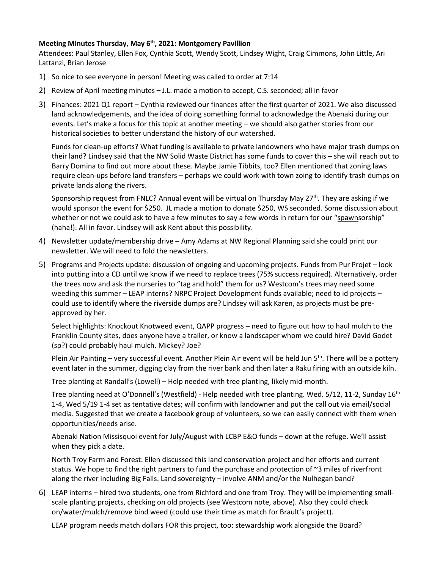## **Meeting Minutes Thursday, May 6th , 2021: Montgomery Pavillion**

Attendees: Paul Stanley, Ellen Fox, Cynthia Scott, Wendy Scott, Lindsey Wight, Craig Cimmons, John Little, Ari Lattanzi, Brian Jerose

- 1) So nice to see everyone in person! Meeting was called to order at 7:14
- 2) Review of April meeting minutes **–** J.L. made a motion to accept, C.S. seconded; all in favor
- 3) Finances: 2021 Q1 report Cynthia reviewed our finances after the first quarter of 2021. We also discussed land acknowledgements, and the idea of doing something formal to acknowledge the Abenaki during our events. Let's make a focus for this topic at another meeting – we should also gather stories from our historical societies to better understand the history of our watershed.

Funds for clean-up efforts? What funding is available to private landowners who have major trash dumps on their land? Lindsey said that the NW Solid Waste District has some funds to cover this – she will reach out to Barry Domina to find out more about these. Maybe Jamie Tibbits, too? Ellen mentioned that zoning laws require clean-ups before land transfers – perhaps we could work with town zoing to identify trash dumps on private lands along the rivers.

Sponsorship request from FNLC? Annual event will be virtual on Thursday May 27<sup>th</sup>. They are asking if we would sponsor the event for \$250. JL made a motion to donate \$250, WS seconded. Some discussion about whether or not we could ask to have a few minutes to say a few words in return for our "spawnsorship" (haha!). All in favor. Lindsey will ask Kent about this possibility.

- 4) Newsletter update/membership drive Amy Adams at NW Regional Planning said she could print our newsletter. We will need to fold the newsletters.
- 5) Programs and Projects update: discussion of ongoing and upcoming projects. Funds from Pur Projet look into putting into a CD until we know if we need to replace trees (75% success required). Alternatively, order the trees now and ask the nurseries to "tag and hold" them for us? Westcom's trees may need some weeding this summer – LEAP interns? NRPC Project Development funds available; need to id projects – could use to identify where the riverside dumps are? Lindsey will ask Karen, as projects must be preapproved by her.

Select highlights: Knockout Knotweed event, QAPP progress – need to figure out how to haul mulch to the Franklin County sites, does anyone have a trailer, or know a landscaper whom we could hire? David Godet (sp?) could probably haul mulch. Mickey? Joe?

Plein Air Painting – very successful event. Another Plein Air event will be held Jun 5<sup>th</sup>. There will be a pottery event later in the summer, digging clay from the river bank and then later a Raku firing with an outside kiln.

Tree planting at Randall's (Lowell) – Help needed with tree planting, likely mid-month.

Tree planting need at O'Donnell's (Westfield) - Help needed with tree planting. Wed. 5/12, 11-2, Sunday 16<sup>th</sup> 1-4, Wed 5/19 1-4 set as tentative dates; will confirm with landowner and put the call out via email/social media. Suggested that we create a facebook group of volunteers, so we can easily connect with them when opportunities/needs arise.

Abenaki Nation Missisquoi event for July/August with LCBP E&O funds – down at the refuge. We'll assist when they pick a date.

North Troy Farm and Forest: Ellen discussed this land conservation project and her efforts and current status. We hope to find the right partners to fund the purchase and protection of ~3 miles of riverfront along the river including Big Falls. Land sovereignty – involve ANM and/or the Nulhegan band?

6) LEAP interns – hired two students, one from Richford and one from Troy. They will be implementing smallscale planting projects, checking on old projects (see Westcom note, above). Also they could check on/water/mulch/remove bind weed (could use their time as match for Brault's project).

LEAP program needs match dollars FOR this project, too: stewardship work alongside the Board?